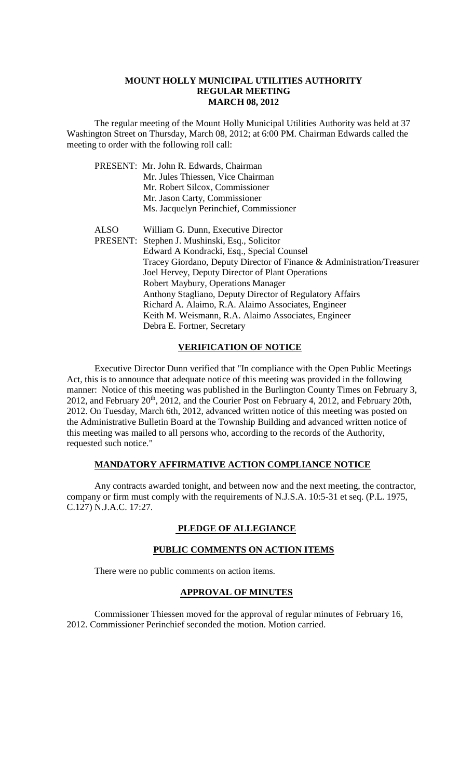### **MOUNT HOLLY MUNICIPAL UTILITIES AUTHORITY REGULAR MEETING MARCH 08, 2012**

The regular meeting of the Mount Holly Municipal Utilities Authority was held at 37 Washington Street on Thursday, March 08, 2012; at 6:00 PM. Chairman Edwards called the meeting to order with the following roll call:

|             | PRESENT: Mr. John R. Edwards, Chairman                                 |
|-------------|------------------------------------------------------------------------|
|             | Mr. Jules Thiessen, Vice Chairman                                      |
|             | Mr. Robert Silcox, Commissioner                                        |
|             | Mr. Jason Carty, Commissioner                                          |
|             | Ms. Jacquelyn Perinchief, Commissioner                                 |
|             |                                                                        |
| <b>ALSO</b> | William G. Dunn, Executive Director                                    |
|             | PRESENT: Stephen J. Mushinski, Esq., Solicitor                         |
|             | Edward A Kondracki, Esq., Special Counsel                              |
|             | Tracey Giordano, Deputy Director of Finance & Administration/Treasurer |
|             | Joel Hervey, Deputy Director of Plant Operations                       |
|             | Robert Maybury, Operations Manager                                     |
|             | Anthony Stagliano, Deputy Director of Regulatory Affairs               |
|             | Richard A. Alaimo, R.A. Alaimo Associates, Engineer                    |
|             | Keith M. Weismann, R.A. Alaimo Associates, Engineer                    |
|             | Debra E. Fortner, Secretary                                            |

## **VERIFICATION OF NOTICE**

Executive Director Dunn verified that "In compliance with the Open Public Meetings Act, this is to announce that adequate notice of this meeting was provided in the following manner: Notice of this meeting was published in the Burlington County Times on February 3, 2012, and February 20th, 2012, and the Courier Post on February 4, 2012, and February 20th, 2012. On Tuesday, March 6th, 2012, advanced written notice of this meeting was posted on the Administrative Bulletin Board at the Township Building and advanced written notice of this meeting was mailed to all persons who, according to the records of the Authority, requested such notice."

### **MANDATORY AFFIRMATIVE ACTION COMPLIANCE NOTICE**

Any contracts awarded tonight, and between now and the next meeting, the contractor, company or firm must comply with the requirements of N.J.S.A. 10:5-31 et seq. (P.L. 1975, C.127) N.J.A.C. 17:27.

### **PLEDGE OF ALLEGIANCE**

### **PUBLIC COMMENTS ON ACTION ITEMS**

There were no public comments on action items.

### **APPROVAL OF MINUTES**

Commissioner Thiessen moved for the approval of regular minutes of February 16, 2012. Commissioner Perinchief seconded the motion. Motion carried.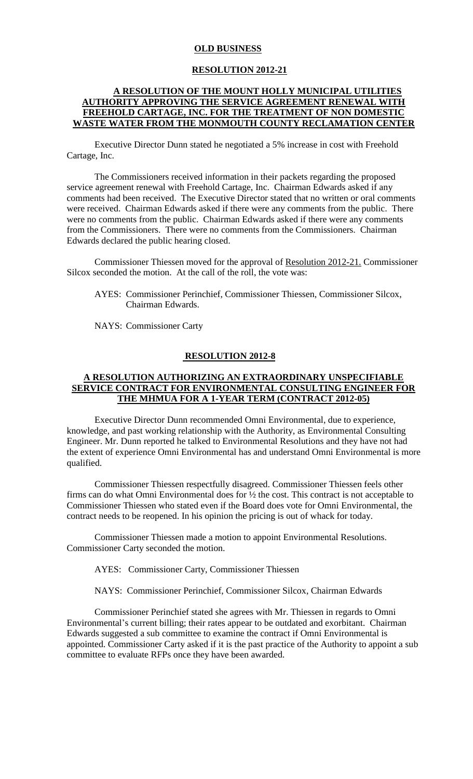#### **OLD BUSINESS**

#### **RESOLUTION 2012-21**

## **A RESOLUTION OF THE MOUNT HOLLY MUNICIPAL UTILITIES AUTHORITY APPROVING THE SERVICE AGREEMENT RENEWAL WITH FREEHOLD CARTAGE, INC. FOR THE TREATMENT OF NON DOMESTIC WASTE WATER FROM THE MONMOUTH COUNTY RECLAMATION CENTER**

Executive Director Dunn stated he negotiated a 5% increase in cost with Freehold Cartage, Inc.

The Commissioners received information in their packets regarding the proposed service agreement renewal with Freehold Cartage, Inc. Chairman Edwards asked if any comments had been received. The Executive Director stated that no written or oral comments were received. Chairman Edwards asked if there were any comments from the public. There were no comments from the public. Chairman Edwards asked if there were any comments from the Commissioners. There were no comments from the Commissioners. Chairman Edwards declared the public hearing closed.

Commissioner Thiessen moved for the approval of Resolution 2012-21. Commissioner Silcox seconded the motion. At the call of the roll, the vote was:

AYES: Commissioner Perinchief, Commissioner Thiessen, Commissioner Silcox, Chairman Edwards.

NAYS: Commissioner Carty

#### **RESOLUTION 2012-8**

### **A RESOLUTION AUTHORIZING AN EXTRAORDINARY UNSPECIFIABLE SERVICE CONTRACT FOR ENVIRONMENTAL CONSULTING ENGINEER FOR THE MHMUA FOR A 1-YEAR TERM (CONTRACT 2012-05)**

 Executive Director Dunn recommended Omni Environmental, due to experience, knowledge, and past working relationship with the Authority, as Environmental Consulting Engineer. Mr. Dunn reported he talked to Environmental Resolutions and they have not had the extent of experience Omni Environmental has and understand Omni Environmental is more qualified.

Commissioner Thiessen respectfully disagreed. Commissioner Thiessen feels other firms can do what Omni Environmental does for ½ the cost. This contract is not acceptable to Commissioner Thiessen who stated even if the Board does vote for Omni Environmental, the contract needs to be reopened. In his opinion the pricing is out of whack for today.

Commissioner Thiessen made a motion to appoint Environmental Resolutions. Commissioner Carty seconded the motion.

AYES: Commissioner Carty, Commissioner Thiessen

NAYS: Commissioner Perinchief, Commissioner Silcox, Chairman Edwards

Commissioner Perinchief stated she agrees with Mr. Thiessen in regards to Omni Environmental's current billing; their rates appear to be outdated and exorbitant. Chairman Edwards suggested a sub committee to examine the contract if Omni Environmental is appointed. Commissioner Carty asked if it is the past practice of the Authority to appoint a sub committee to evaluate RFPs once they have been awarded.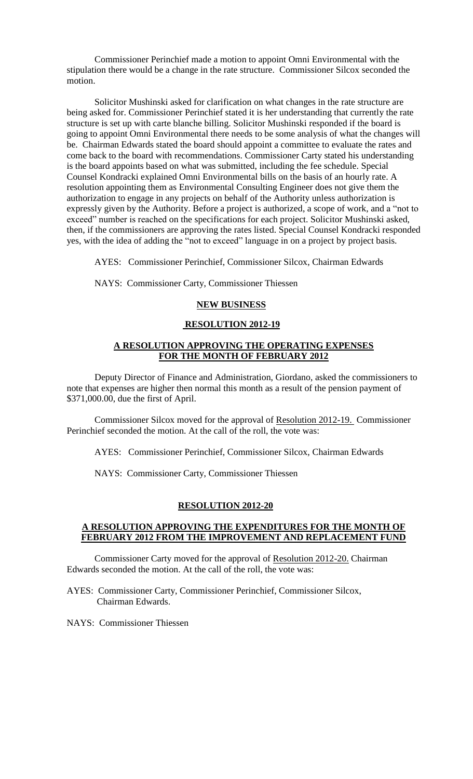Commissioner Perinchief made a motion to appoint Omni Environmental with the stipulation there would be a change in the rate structure. Commissioner Silcox seconded the motion.

Solicitor Mushinski asked for clarification on what changes in the rate structure are being asked for. Commissioner Perinchief stated it is her understanding that currently the rate structure is set up with carte blanche billing. Solicitor Mushinski responded if the board is going to appoint Omni Environmental there needs to be some analysis of what the changes will be. Chairman Edwards stated the board should appoint a committee to evaluate the rates and come back to the board with recommendations. Commissioner Carty stated his understanding is the board appoints based on what was submitted, including the fee schedule. Special Counsel Kondracki explained Omni Environmental bills on the basis of an hourly rate. A resolution appointing them as Environmental Consulting Engineer does not give them the authorization to engage in any projects on behalf of the Authority unless authorization is expressly given by the Authority. Before a project is authorized, a scope of work, and a "not to exceed" number is reached on the specifications for each project. Solicitor Mushinski asked, then, if the commissioners are approving the rates listed. Special Counsel Kondracki responded yes, with the idea of adding the "not to exceed" language in on a project by project basis.

AYES: Commissioner Perinchief, Commissioner Silcox, Chairman Edwards

NAYS: Commissioner Carty, Commissioner Thiessen

### **NEW BUSINESS**

#### **RESOLUTION 2012-19**

### **A RESOLUTION APPROVING THE OPERATING EXPENSES FOR THE MONTH OF FEBRUARY 2012**

Deputy Director of Finance and Administration, Giordano, asked the commissioners to note that expenses are higher then normal this month as a result of the pension payment of \$371,000.00, due the first of April.

Commissioner Silcox moved for the approval of Resolution 2012-19. Commissioner Perinchief seconded the motion. At the call of the roll, the vote was:

AYES: Commissioner Perinchief, Commissioner Silcox, Chairman Edwards

NAYS: Commissioner Carty, Commissioner Thiessen

### **RESOLUTION 2012-20**

### **A RESOLUTION APPROVING THE EXPENDITURES FOR THE MONTH OF FEBRUARY 2012 FROM THE IMPROVEMENT AND REPLACEMENT FUND**

Commissioner Carty moved for the approval of Resolution 2012-20. Chairman Edwards seconded the motion. At the call of the roll, the vote was:

AYES: Commissioner Carty, Commissioner Perinchief, Commissioner Silcox, Chairman Edwards.

NAYS: Commissioner Thiessen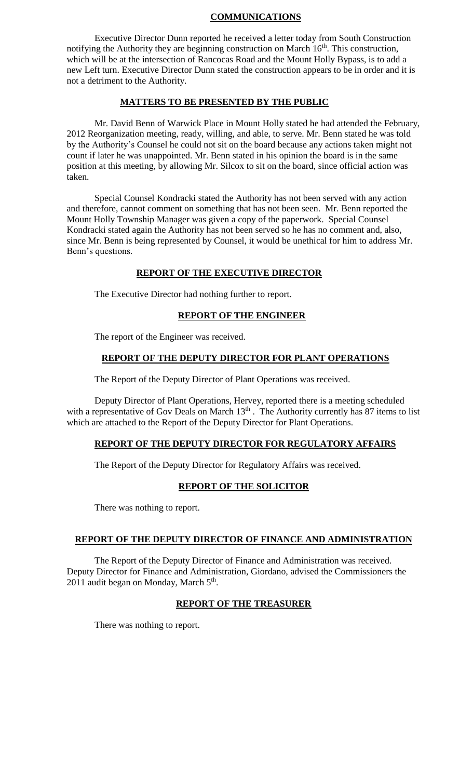## **COMMUNICATIONS**

Executive Director Dunn reported he received a letter today from South Construction notifying the Authority they are beginning construction on March  $16<sup>th</sup>$ . This construction, which will be at the intersection of Rancocas Road and the Mount Holly Bypass, is to add a new Left turn. Executive Director Dunn stated the construction appears to be in order and it is not a detriment to the Authority.

# **MATTERS TO BE PRESENTED BY THE PUBLIC**

Mr. David Benn of Warwick Place in Mount Holly stated he had attended the February, 2012 Reorganization meeting, ready, willing, and able, to serve. Mr. Benn stated he was told by the Authority's Counsel he could not sit on the board because any actions taken might not count if later he was unappointed. Mr. Benn stated in his opinion the board is in the same position at this meeting, by allowing Mr. Silcox to sit on the board, since official action was taken.

Special Counsel Kondracki stated the Authority has not been served with any action and therefore, cannot comment on something that has not been seen. Mr. Benn reported the Mount Holly Township Manager was given a copy of the paperwork. Special Counsel Kondracki stated again the Authority has not been served so he has no comment and, also, since Mr. Benn is being represented by Counsel, it would be unethical for him to address Mr. Benn's questions.

## **REPORT OF THE EXECUTIVE DIRECTOR**

The Executive Director had nothing further to report.

## **REPORT OF THE ENGINEER**

The report of the Engineer was received.

## **REPORT OF THE DEPUTY DIRECTOR FOR PLANT OPERATIONS**

The Report of the Deputy Director of Plant Operations was received.

Deputy Director of Plant Operations, Hervey, reported there is a meeting scheduled with a representative of Gov Deals on March  $13<sup>th</sup>$ . The Authority currently has 87 items to list which are attached to the Report of the Deputy Director for Plant Operations.

## **REPORT OF THE DEPUTY DIRECTOR FOR REGULATORY AFFAIRS**

The Report of the Deputy Director for Regulatory Affairs was received.

## **REPORT OF THE SOLICITOR**

There was nothing to report.

## **REPORT OF THE DEPUTY DIRECTOR OF FINANCE AND ADMINISTRATION**

The Report of the Deputy Director of Finance and Administration was received. Deputy Director for Finance and Administration, Giordano, advised the Commissioners the 2011 audit began on Monday, March 5<sup>th</sup>.

## **REPORT OF THE TREASURER**

There was nothing to report.